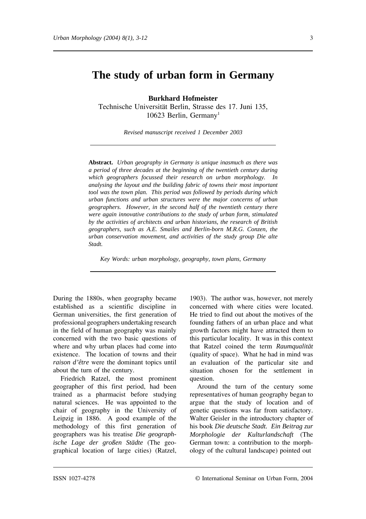# **The study of urban form in Germany**

**Burkhard Hofmeister** Technische Universität Berlin, Strasse des 17. Juni 135, 10623 Berlin, Germany<sup>1</sup>

*Revised manuscript received 1 December 2003*

**Abstract.** *Urban geography in Germany is unique inasmuch as there was a period of three decades at the beginning of the twentieth century during which geographers focussed their research on urban morphology. In analysing the layout and the building fabric of towns their most important tool was the town plan. This period was followed by periods during which urban functions and urban structures were the major concerns of urban geographers. However, in the second half of the twentieth century there were again innovative contributions to the study of urban form, stimulated by the activities of architects and urban historians, the research of British geographers, such as A.E. Smailes and Berlin-born M.R.G. Conzen, the urban conservation movement, and activities of the study group Die alte Stadt.*

*Key Words: urban morphology, geography, town plans, Germany*

During the 1880s, when geography became established as a scientific discipline in German universities, the first generation of professional geographers undertaking research in the field of human geography was mainly concerned with the two basic questions of where and why urban places had come into existence. The location of towns and their *raison d'être* were the dominant topics until about the turn of the century.

Friedrich Ratzel, the most prominent geographer of this first period, had been trained as a pharmacist before studying natural sciences. He was appointed to the chair of geography in the University of Leipzig in 1886. A good example of the methodology of this first generation of geographers was his treatise *Die geographische Lage der großen Städte* (The geographical location of large cities) (Ratzel,

1903). The author was, however, not merely concerned with where cities were located. He tried to find out about the motives of the founding fathers of an urban place and what growth factors might have attracted them to this particular locality. It was in this context that Ratzel coined the term *Raumqualität* (quality of space). What he had in mind was an evaluation of the particular site and situation chosen for the settlement in question.

Around the turn of the century some representatives of human geography began to argue that the study of location and of genetic questions was far from satisfactory. Walter Geisler in the introductory chapter of his book *Die deutsche Stadt. Ein Beitrag zur Morphologie der Kulturlandschaft* (The German town: a contribution to the morphology of the cultural landscape) pointed out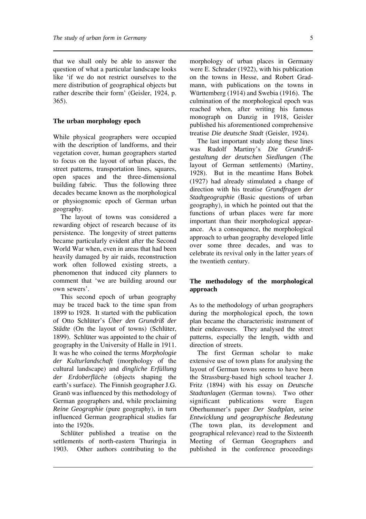that we shall only be able to answer the question of what a particular landscape looks like 'if we do not restrict ourselves to the mere distribution of geographical objects but rather describe their form' (Geisler, 1924, p. 365).

### **The urban morphology epoch**

While physical geographers were occupied with the description of landforms, and their vegetation cover, human geographers started to focus on the layout of urban places, the street patterns, transportation lines, squares, open spaces and the three-dimensional building fabric. Thus the following three decades became known as the morphological or physiognomic epoch of German urban geography.

The layout of towns was considered a rewarding object of research because of its persistence. The longevity of street patterns became particularly evident after the Second World War when, even in areas that had been heavily damaged by air raids, reconstruction work often followed existing streets, a phenomenon that induced city planners to comment that 'we are building around our own sewers'.

This second epoch of urban geography may be traced back to the time span from 1899 to 1928. It started with the publication of Otto Schlüter's *Über den Grundriß der Städte* (On the layout of towns) (Schlüter, 1899). Schlüter was appointed to the chair of geography in the University of Halle in 1911. It was he who coined the terms *Morphologie der Kulturlandschaft* (morphology of the cultural landscape) and *dingliche Erfüllung der Erdoberfläche* (objects shaping the earth's surface). The Finnish geographer J.G. Granö was influenced by this methodology of German geographers and, while proclaiming *Reine Geographie* (pure geography), in turn influenced German geographical studies far into the 1920s.

Schlüter published a treatise on the settlements of north-eastern Thuringia in 1903. Other authors contributing to the

morphology of urban places in Germany were E. Schrader (1922), with his publication on the towns in Hesse, and Robert Gradmann, with publications on the towns in Württemberg (1914) and Swebia (1916). The culmination of the morphological epoch was reached when, after writing his famous monograph on Danzig in 1918, Geisler published his aforementioned comprehensive treatise *Die deutsche Stadt* (Geisler, 1924).

The last important study along these lines was Rudolf Martiny's *Die Grundrißgestaltung der deutschen Siedlungen* (The layout of German settlements) (Martiny, 1928). But in the meantime Hans Bobek (1927) had already stimulated a change of direction with his treatise *Grundfragen der Stadtgeographie* (Basic questions of urban geography), in which he pointed out that the functions of urban places were far more important than their morphological appearance. As a consequence, the morphological approach to urban geography developed little over some three decades, and was to celebrate its revival only in the latter years of the twentieth century.

## **The methodology of the morphological approach**

As to the methodology of urban geographers during the morphological epoch, the town plan became the characteristic instrument of their endeavours. They analysed the street patterns, especially the length, width and direction of streets.

The first German scholar to make extensive use of town plans for analysing the layout of German towns seems to have been the Strassburg-based high school teacher J. Fritz (1894) with his essay on *Deutsche Stadtanlagen* (German towns). Two other significant publications were Eugen Oberhummer's paper *Der Stadtplan, seine Entwicklung und geographische Bedeutung* (The town plan, its development and geographical relevance) read to the Sixteenth Meeting of German Geographers and published in the conference proceedings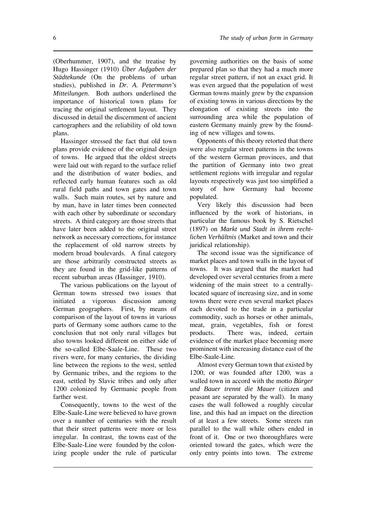(Oberhummer, 1907), and the treatise by Hugo Hassinger (1910) *Über Aufgaben der Städtekunde* (On the problems of urban studies), published in *Dr. A. Petermann's Mitteilungen*. Both authors underlined the importance of historical town plans for tracing the original settlement layout. They discussed in detail the discernment of ancient cartographers and the reliability of old town plans.

Hassinger stressed the fact that old town plans provide evidence of the original design of towns. He argued that the oldest streets were laid out with regard to the surface relief and the distribution of water bodies, and reflected early human features such as old rural field paths and town gates and town walls. Such main routes, set by nature and by man, have in later times been connected with each other by subordinate or secondary streets. A third category are those streets that have later been added to the original street network as necessary corrections, for instance the replacement of old narrow streets by modern broad boulevards. A final category are those arbitrarily constructed streets as they are found in the grid-like patterns of recent suburban areas (Hassinger, 1910).

The various publications on the layout of German towns stressed two issues that initiated a vigorous discussion among German geographers. First, by means of comparison of the layout of towns in various parts of Germany some authors came to the conclusion that not only rural villages but also towns looked different on either side of the so-called Elbe-Saale-Line. These two rivers were, for many centuries, the dividing line between the regions to the west, settled by Germanic tribes, and the regions to the east, settled by Slavic tribes and only after 1200 colonized by Germanic people from farther west.

Consequently, towns to the west of the Elbe-Saale-Line were believed to have grown over a number of centuries with the result that their street patterns were more or less irregular. In contrast, the towns east of the Elbe-Saale-Line were founded by the colonizing people under the rule of particular governing authorities on the basis of some prepared plan so that they had a much more regular street pattern, if not an exact grid. It was even argued that the population of west German towns mainly grew by the expansion of existing towns in various directions by the elongation of existing streets into the surrounding area while the population of eastern Germany mainly grew by the founding of new villages and towns.

Opponents of this theory retorted that there were also regular street patterns in the towns of the western German provinces, and that the partition of Germany into two great settlement regions with irregular and regular layouts respectively was just too simplified a story of how Germany had become populated.

Very likely this discussion had been influenced by the work of historians, in particular the famous book by S. Rietschel (1897) on *Markt und Stadt in ihrem rechtlichen Verhältnis* (Market and town and their juridical relationship).

The second issue was the significance of market places and town walls in the layout of towns. It was argued that the market had developed over several centuries from a mere widening of the main street to a centrallylocated square of increasing size, and in some towns there were even several market places each devoted to the trade in a particular commodity, such as horses or other animals, meat, grain, vegetables, fish or forest products. There was, indeed, certain evidence of the market place becoming more prominent with increasing distance east of the Elbe-Saale-Line.

Almost every German town that existed by 1200, or was founded after 1200, was a walled town in accord with the motto *Bürger und Bauer trennt die Mauer* (citizen and peasant are separated by the wall). In many cases the wall followed a roughly circular line, and this had an impact on the direction of at least a few streets. Some streets ran parallel to the wall while others ended in front of it. One or two thoroughfares were oriented toward the gates, which were the only entry points into town. The extreme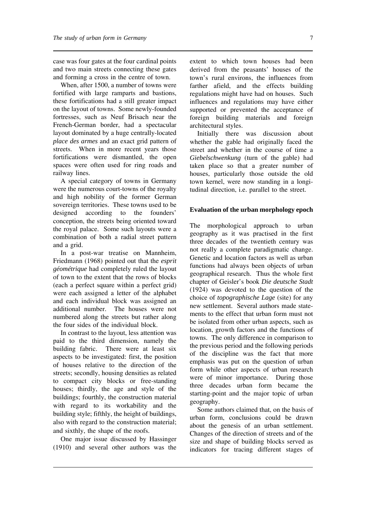case was four gates at the four cardinal points and two main streets connecting these gates and forming a cross in the centre of town.

When, after 1500, a number of towns were fortified with large ramparts and bastions, these fortifications had a still greater impact on the layout of towns. Some newly-founded fortresses, such as Neuf Brisach near the French-German border, had a spectacular layout dominated by a huge centrally-located *place des armes* and an exact grid pattern of streets. When in more recent years those fortifications were dismantled, the open spaces were often used for ring roads and railway lines.

A special category of towns in Germany were the numerous court-towns of the royalty and high nobility of the former German sovereign territories. These towns used to be designed according to the founders' conception, the streets being oriented toward the royal palace. Some such layouts were a combination of both a radial street pattern and a grid.

In a post-war treatise on Mannheim, Friedmann (1968) pointed out that the *esprit géométrique* had completely ruled the layout of town to the extent that the rows of blocks (each a perfect square within a perfect grid) were each assigned a letter of the alphabet and each individual block was assigned an additional number. The houses were not numbered along the streets but rather along the four sides of the individual block.

In contrast to the layout, less attention was paid to the third dimension, namely the building fabric. There were at least six aspects to be investigated: first, the position of houses relative to the direction of the streets; secondly, housing densities as related to compact city blocks or free-standing houses; thirdly, the age and style of the buildings; fourthly, the construction material with regard to its workability and the building style; fifthly, the height of buildings, also with regard to the construction material; and sixthly, the shape of the roofs.

One major issue discussed by Hassinger (1910) and several other authors was the

extent to which town houses had been derived from the peasants' houses of the town's rural environs, the influences from farther afield, and the effects building regulations might have had on houses. Such influences and regulations may have either supported or prevented the acceptance of foreign building materials and foreign architectural styles.

Initially there was discussion about whether the gable had originally faced the street and whether in the course of time a *Giebelschwenkung* (turn of the gable) had taken place so that a greater number of houses, particularly those outside the old town kernel, were now standing in a longitudinal direction, i.e. parallel to the street.

#### **Evaluation of the urban morphology epoch**

The morphological approach to urban geography as it was practised in the first three decades of the twentieth century was not really a complete paradigmatic change. Genetic and location factors as well as urban functions had always been objects of urban geographical research. Thus the whole first chapter of Geisler's book *Die deutsche Stadt* (1924) was devoted to the question of the choice of *topographische Lage* (site) for any new settlement. Several authors made statements to the effect that urban form must not be isolated from other urban aspects, such as location, growth factors and the functions of towns. The only difference in comparison to the previous period and the following periods of the discipline was the fact that more emphasis was put on the question of urban form while other aspects of urban research were of minor importance. During those three decades urban form became the starting-point and the major topic of urban geography.

Some authors claimed that, on the basis of urban form, conclusions could be drawn about the genesis of an urban settlement. Changes of the direction of streets and of the size and shape of building blocks served as indicators for tracing different stages of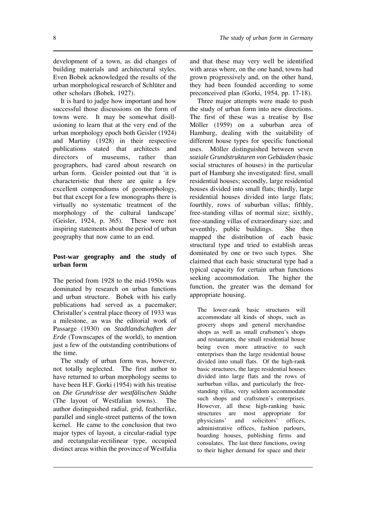development of a town, as did changes of building materials and architectural styles. Even Bobek acknowledged the results of the urban morphological research of Schlüter and other scholars (Bobek, 1927).

It is hard to judge how important and how successful those discussions on the form of towns were. It may be somewhat disillusioning to learn that at the very end of the urban morphology epoch both Geisler (1924) and Martiny (1928) in their respective publications stated that architects and directors of museums, rather than geographers, had cared about research on urban form. Geisler pointed out that 'it is characteristic that there are quite a few excellent compendiums of geomorphology, but that except for a few monographs there is virtually no systematic treatment of the morphology of the cultural landscape' (Geisler, 1924, p. 365). These were not inspiring statements about the period of urban geography that now came to an end.

## **Post-war geography and the study of urban form**

The period from 1928 to the mid-1950s was dominated by research on urban functions and urban structure. Bobek with his early publications had served as a pacemaker; Christaller's central place theory of 1933 was a milestone, as was the editorial work of Passarge (1930) on *Stadtlandschaften der Erde* (Townscapes of the world), to mention just a few of the outstanding contributions of the time.

The study of urban form was, however, not totally neglected. The first author to have returned to urban morphology seems to have been H.F. Gorki (1954) with his treatise on *Die Grundrisse der westfälischen Städte* (The layout of Westfalian towns). The author distinguished radial, grid, featherlike, parallel and single-street patterns of the town kernel. He came to the conclusion that two major types of layout, a circular-radial type and rectangular-rectilinear type, occupied distinct areas within the province of Westfalia

and that these may very well be identified with areas where, on the one hand, towns had grown progressively and, on the other hand, they had been founded according to some preconceived plan (Gorki, 1954, pp. 17-18).

Three major attempts were made to push the study of urban form into new directions. The first of these was a treatise by Ilse Möller (1959) on a suburban area of Hamburg, dealing with the suitability of different house types for specific functional uses. Möller distinguished between seven *soziale Grundstrukturen von Gebäuden* (basic social structures of houses) in the particular part of Hamburg she investigated: first, small residential houses; secondly, large residential houses divided into small flats; thirdly, large residential houses divided into large flats; fourthly, rows of suburban villas; fifthly, free-standing villas of normal size; sixthly, free-standing villas of extraordinary size; and seventhly, public buildings. She then mapped the distribution of each basic structural type and tried to establish areas dominated by one or two such types. She claimed that each basic structural type had a typical capacity for certain urban functions seeking accommodation. The higher the function, the greater was the demand for appropriate housing.

The lower-rank basic structures will accommodate all kinds of shops, such as grocery shops and general merchandise shops as well as small craftsmen's shops and restaurants, the small residential house being even more attractive to such enterprises than the large residential house divided into small flats. Of the high-rank basic structures, the large residential houses divided into large flats and the rows of surburban villas, and particularly the freestanding villas, very seldom accommodate such shops and craftsmen's enterprises. However, all these high-ranking basic structures are most appropriate for physicians' and solicitors' offices, administrative offices, fashion parlours, boarding houses, publishing firms and consulates. The last three functions, owing to their higher demand for space and their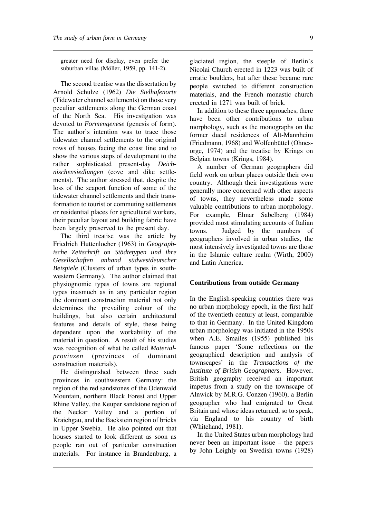greater need for display, even prefer the suburban villas (Möller, 1959, pp. 141-2).

The second treatise was the dissertation by Arnold Schulze (1962) *Die Sielhafenorte* (Tidewater channel settlements) on those very peculiar settlements along the German coast of the North Sea. His investigation was devoted to *Formengenese* (genesis of form). The author's intention was to trace those tidewater channel settlements to the original rows of houses facing the coast line and to show the various steps of development to the rather sophisticated present-day *Deichnischensiedlungen* (cove and dike settlements). The author stressed that, despite the loss of the seaport function of some of the tidewater channel settlements and their transformation to tourist or commuting settlements or residential places for agricultural workers, their peculiar layout and building fabric have been largely preserved to the present day.

The third treatise was the article by Friedrich Huttenlocher (1963) in *Geographische Zeitschrift* on *Städtetypen und ihre Gesellschaften anhand südwestdeutscher Beispiele* (Clusters of urban types in southwestern Germany). The author claimed that physiognomic types of towns are regional types inasmuch as in any particular region the dominant construction material not only determines the prevailing colour of the buildings, but also certain architectural features and details of style, these being dependent upon the workability of the material in question. A result of his studies was recognition of what he called *Materialprovinzen* (provinces of dominant construction materials).

He distinguished between three such provinces in southwestern Germany: the region of the red sandstones of the Odenwald Mountain, northern Black Forest and Upper Rhine Valley, the Keuper sandstone region of the Neckar Valley and a portion of Kraichgau, and the Backstein region of bricks in Upper Swebia. He also pointed out that houses started to look different as soon as people ran out of particular construction materials. For instance in Brandenburg, a

glaciated region, the steeple of Berlin's Nicolai Church erected in 1223 was built of erratic boulders, but after these became rare people switched to different construction materials, and the French monastic church erected in 1271 was built of brick.

In addition to these three approaches, there have been other contributions to urban morphology, such as the monographs on the former ducal residences of Alt-Mannheim (Friedmann, 1968) and Wolfenbüttel (Ohnesorge, 1974) and the treatise by Krings on Belgian towns (Krings, 1984).

A number of German geographers did field work on urban places outside their own country. Although their investigations were generally more concerned with other aspects of towns, they nevertheless made some valuable contributions to urban morphology. For example, Elmar Sabelberg (1984) provided most stimulating accounts of Italian towns. Judged by the numbers of geographers involved in urban studies, the most intensively investigated towns are those in the Islamic culture realm (Wirth, 2000) and Latin America.

### **Contributions from outside Germany**

In the English-speaking countries there was no urban morphology epoch, in the first half of the twentieth century at least, comparable to that in Germany. In the United Kingdom urban morphology was initiated in the 1950s when A.E. Smailes (1955) published his famous paper 'Some reflections on the geographical description and analysis of townscapes' in the *Transactions of the Institute of British Geographers*. However, British geography received an important impetus from a study on the townscape of Alnwick by M.R.G. Conzen (1960), a Berlin geographer who had emigrated to Great Britain and whose ideas returned, so to speak, via England to his country of birth (Whitehand, 1981).

In the United States urban morphology had never been an important issue – the papers by John Leighly on Swedish towns (1928)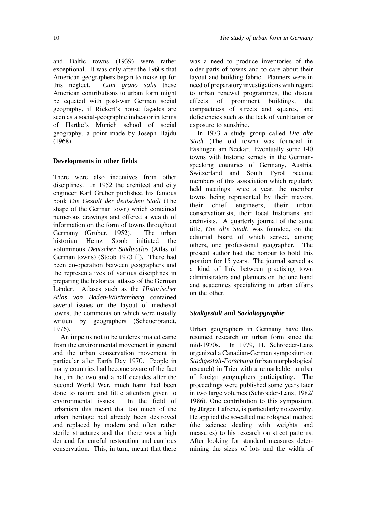and Baltic towns (1939) were rather exceptional. It was only after the 1960s that American geographers began to make up for this neglect. *Cum grano salis* these American contributions to urban form might be equated with post-war German social geography, if Rickert's house façades are seen as a social-geographic indicator in terms of Hartke's Munich school of social geography, a point made by Joseph Hajdu (1968).

# **Developments in other fields**

There were also incentives from other disciplines. In 1952 the architect and city engineer Karl Gruber published his famous book *Die Gestalt der deutschen Stadt* (The shape of the German town) which contained numerous drawings and offered a wealth of information on the form of towns throughout Germany (Gruber, 1952). The urban historian Heinz Stoob initiated the voluminous *Deutscher Städteatlas* (Atlas of German towns) (Stoob 1973 ff). There had been co-operation between geographers and the representatives of various disciplines in preparing the historical atlases of the German Länder. Atlases such as the *Historischer Atlas von Baden-Württemberg* contained several issues on the layout of medieval towns, the comments on which were usually written by geographers (Scheuerbrandt, 1976).

An impetus not to be underestimated came from the environmental movement in general and the urban conservation movement in particular after Earth Day 1970. People in many countries had become aware of the fact that, in the two and a half decades after the Second World War, much harm had been done to nature and little attention given to environmental issues. In the field of urbanism this meant that too much of the urban heritage had already been destroyed and replaced by modern and often rather sterile structures and that there was a high demand for careful restoration and cautious conservation. This, in turn, meant that there

was a need to produce inventories of the older parts of towns and to care about their layout and building fabric. Planners were in need of preparatory investigations with regard to urban renewal programmes, the distant effects of prominent buildings, the compactness of streets and squares, and deficiencies such as the lack of ventilation or exposure to sunshine.

In 1973 a study group called *Die alte Stadt* (The old town) was founded in Esslingen am Neckar. Eventually some 140 towns with historic kernels in the Germanspeaking countries of Germany, Austria, Switzerland and South Tyrol became members of this association which regularly held meetings twice a year, the member towns being represented by their mayors, their chief engineers, their urban conservationists, their local historians and archivists. A quarterly journal of the same title, *Die alte Stadt*, was founded, on the editorial board of which served, among others, one professional geographer. The present author had the honour to hold this position for 15 years. The journal served as a kind of link between practising town administrators and planners on the one hand and academics specializing in urban affairs on the other.

# *Stadtgestalt* **and** *Sozialtopgraphie*

Urban geographers in Germany have thus resumed research on urban form since the mid-1970s. In 1979, H. Schroeder-Lanz organized a Canadian-German symposium on *Stadtgestalt-Forschung* (urban morphological research) in Trier with a remarkable number of foreign geographers participating. The proceedings were published some years later in two large volumes (Schroeder-Lanz, 1982/ 1986). One contribution to this symposium, by Jürgen Lafrenz, is particularly noteworthy. He applied the so-called metrological method (the science dealing with weights and measures) to his research on street patterns. After looking for standard measures determining the sizes of lots and the width of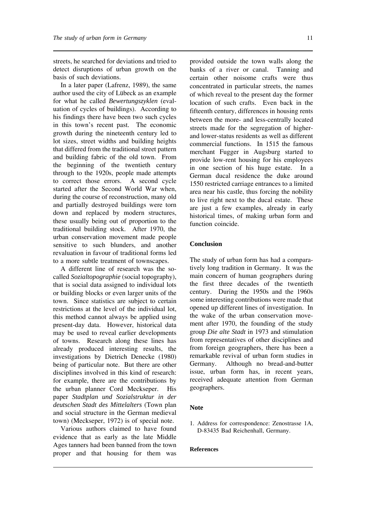streets, he searched for deviations and tried to detect disruptions of urban growth on the basis of such deviations.

In a later paper (Lafrenz, 1989), the same author used the city of Lübeck as an example for what he called *Bewertungszyklen* (evaluation of cycles of buildings). According to his findings there have been two such cycles in this town's recent past. The economic growth during the nineteenth century led to lot sizes, street widths and building heights that differed from the traditional street pattern and building fabric of the old town. From the beginning of the twentieth century through to the 1920s, people made attempts to correct those errors. A second cycle started after the Second World War when, during the course of reconstruction, many old and partially destroyed buildings were torn down and replaced by modern structures, these usually being out of proportion to the traditional building stock. After 1970, the urban conservation movement made people sensitive to such blunders, and another revaluation in favour of traditional forms led to a more subtle treatment of townscapes.

A different line of research was the socalled *Sozialtopographie* (social topography), that is social data assigned to individual lots or building blocks or even larger units of the town. Since statistics are subject to certain restrictions at the level of the individual lot, this method cannot always be applied using present-day data. However, historical data may be used to reveal earlier developments of towns. Research along these lines has already produced interesting results, the investigations by Dietrich Denecke (1980) being of particular note. But there are other disciplines involved in this kind of research: for example, there are the contributions by the urban planner Cord Meckseper. His paper *Stadtplan und Sozialstruktur in der deutschen Stadt des Mittelalters* (Town plan and social structure in the German medieval town) (Meckseper, 1972) is of special note.

Various authors claimed to have found evidence that as early as the late Middle Ages tanners had been banned from the town proper and that housing for them was

provided outside the town walls along the banks of a river or canal. Tanning and certain other noisome crafts were thus concentrated in particular streets, the names of which reveal to the present day the former location of such crafts. Even back in the fifteenth century, differences in housing rents between the more- and less-centrally located streets made for the segregation of higherand lower-status residents as well as different commercial functions. In 1515 the famous merchant Fugger in Augsburg started to provide low-rent housing for his employees in one section of his huge estate. In a German ducal residence the duke around 1550 restricted carriage entrances to a limited area near his castle, thus forcing the nobility to live right next to the ducal estate. These are just a few examples, already in early historical times, of making urban form and function coincide.

### **Conclusion**

The study of urban form has had a comparatively long tradition in Germany. It was the main concern of human geographers during the first three decades of the twentieth century. During the 1950s and the 1960s some interesting contributions were made that opened up different lines of investigation. In the wake of the urban conservation movement after 1970, the founding of the study group *Die alte Stadt* in 1973 and stimulation from representatives of other disciplines and from foreign geographers, there has been a remarkable revival of urban form studies in Germany. Although no bread-and-butter issue, urban form has, in recent years, received adequate attention from German geographers.

### **Note**

1. Address for correspondence: Zenostrasse 1A, D-83435 Bad Reichenhall, Germany.

### **References**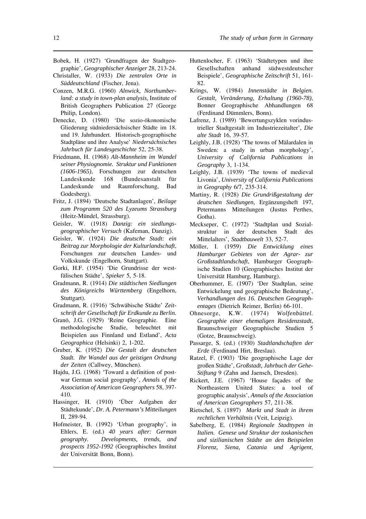- Bobek, H. (1927) 'Grundfragen der Stadtgeographie', *Geographischer Anzeiger* 28, 213-24.
- Christaller, W. (1933) *Die zentralen Orte in Süddeutschland* (Fischer, Jena).
- Conzen, M.R.G. (1960) *Alnwick, Northumberland: a study in town-plan analysis,* Institute of British Geographers Publication 27 (George Philip, London).
- Denecke, D. (1980) 'Die sozio-ökonomische Gliederung südniedersächsischer Städte im 18. und 19. Jahrhundert. Historisch-geographische Stadtpläne und ihre Analyse' *Niedersächsisches Jahrbuch für Landesgeschichte* 52, 25-38.
- Friedmann, H. (1968) *Alt-Mannheim im Wandel seiner Physiognomie. Struktur und Funktionen (1606-1965)*, Forschungen zur deutschen Landeskunde 168 (Bundesanstalt für Landeskunde und Raumforschung, Bad Godesberg).
- Fritz, J. (1894) 'Deutsche Stadtanlagen', *Beilage zum Programm 520 des Lyzeums Strassburg* (Heitz-Mündel, Strassburg).
- Geisler, W. (1918) *Danzig: ein siedlungsgeographischer Versuch* (Kafeman, Danzig).
- Geisler, W. (1924) *Die deutsche Stadt: ein Beitrag zur Morphologie der Kulturlandschaft*, Forschungen zur deutschen Landes- und Volkskunde (Engelhorn, Stuttgart).
- Gorki, H.F. (1954) 'Die Grundrisse der westfälischen Städte', *Spieker* 5, 5-18.
- Gradmann, R. (1914) *Die städtischen Siedlungen des Königreichs Württemberg* (Engelhorn, Stuttgart).
- Gradmann, R. (1916) 'Schwäbische Städte' *Zeitschrift der Gesellschaft für Erdkunde zu Berlin.*
- Granö, J.G. (1929) 'Reine Geographie. Eine methodologische Studie, beleuchtet mit Beispielen aus Finnland und Estland', *Acta Geographica* (Helsinki) 2, 1-202.
- Gruber, K. (1952) *Die Gestalt der deutschen Stadt. Ihr Wandel aus der geistigen Ordnung der Zeiten* (Callwey, München).
- Hajdu, J.G. (1968) 'Toward a definition of postwar German social geography', *Annals of the Association of American Geographers* 58, 397- 410.
- Hassinger, H. (1910) 'Über Aufgaben der Städtekunde', *Dr. A. Petermann's Mitteilungen* II, 289-94.
- Hofmeister, B. (1992) 'Urban geography', in Ehlers, E. (ed.) *40 years after: German geography. Developments, trends, and prospects 1952-1992* (Geographisches Institut der Universität Bonn, Bonn).
- Huttenlocher, F. (1963) 'Städtetypen und ihre Gesellschaften anhand südwestdeutscher Beispiele', *Geographische Zeitschrift* 51, 161- 82.
- Krings, W. (1984) *Innenstädte in Belgien. Gestalt, Veränderung, Erhaltung (1960-78)*, Bonner Geographische Abhandlungen 68 (Ferdinand Dümmlers, Bonn).
- Lafrenz, J. (1989) 'Bewertungszyklen vorindustrieller Stadtgestalt im Industriezeitalter', *Die alte Stadt* 16, 39-57.
- Leighly, J.B. (1928) 'The towns of Mälardalen in Sweden: a study in urban morphology', *University of California Publications in Geography* 3, 1-134.
- Leighly, J.B. (1939) 'The towns of medieval Livonia', *University of California Publications in Geography* 6/7, 235-314.
- Martiny, R. (1928) *Die Grundrißgestaltung der deutschen Siedlungen,* Ergänzungsheft 197, Petermanns Mitteilungen (Justus Perthes, Gotha).
- Meckseper, C. (1972) 'Stadtplan und Sozialstruktur in der deutschen Stadt des Mittelalters', *Stadtbauwelt* 33, 52-7.
- Möller, I. (1959) *Die Entwicklung eines Hamburger Gebietes von der Agrar- zur Großstadtlandschaft*, Hamburger Geographische Studien 10 (Geographisches Institut der Universität Hamburg, Hamburg).
- Oberhummer, E. (1907) 'Der Stadtplan, seine Entwickelung und geographische Bedeutung', *Verhandlungen des 16. Deutschen Geographentages* (Dietrich Reimer, Berlin) 66-101.
- Ohnesorge, K.W. (1974) *Wolfenbüttel. Geographie einer ehemaligen Residenzstadt*, Braunschweiger Geographische Studien 5 (Gotze, Braunschweig).
- Passarge, S. (ed.) (1930) *Stadtlandschaften der Erde* (Ferdinand Hirt, Breslau).
- Ratzel, F. (1903) 'Die geographische Lage der großen Städte', *Großstadt, Jahrbuch der Gehe-Stiftung* 9 (Zahn and Jaensch, Dresden).
- Rickert, J.E. (1967) 'House façades of the Northeastern United States: a tool of geographic analysis', *Annals of the Association of American Geographers* 57, 211-38.
- Rietschel, S. (1897) *Markt und Stadt in ihrem rechtlichen Verhältnis* (Veit, Leipzig).
- Sabelberg, E. (1984) *Regionale Stadttypen in Italien. Genese und Struktur der toskanischen und sizilianischen Städte an den Beispielen Florenz, Siena, Catania und Agrigent*,